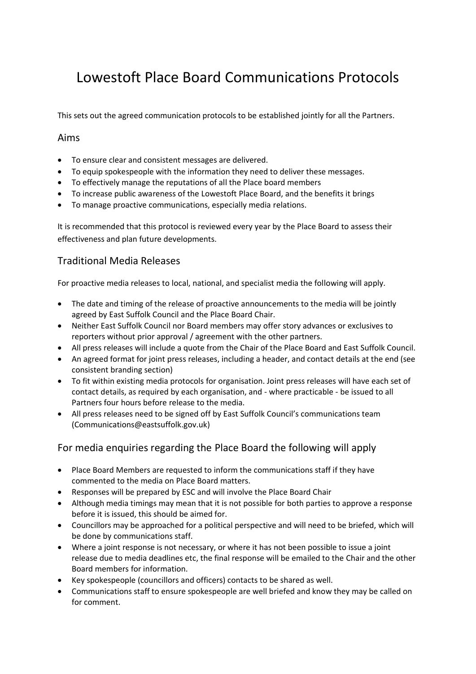# Lowestoft Place Board Communications Protocols

This sets out the agreed communication protocols to be established jointly for all the Partners.

#### Aims

- To ensure clear and consistent messages are delivered.
- To equip spokespeople with the information they need to deliver these messages.
- To effectively manage the reputations of all the Place board members
- To increase public awareness of the Lowestoft Place Board, and the benefits it brings
- To manage proactive communications, especially media relations.

It is recommended that this protocol is reviewed every year by the Place Board to assess their effectiveness and plan future developments.

### Traditional Media Releases

For proactive media releases to local, national, and specialist media the following will apply.

- The date and timing of the release of proactive announcements to the media will be jointly agreed by East Suffolk Council and the Place Board Chair.
- Neither East Suffolk Council nor Board members may offer story advances or exclusives to reporters without prior approval / agreement with the other partners.
- All press releases will include a quote from the Chair of the Place Board and East Suffolk Council.
- An agreed format for joint press releases, including a header, and contact details at the end (see consistent branding section)
- To fit within existing media protocols for organisation. Joint press releases will have each set of contact details, as required by each organisation, and - where practicable - be issued to all Partners four hours before release to the media.
- All press releases need to be signed off by East Suffolk Council's communications team (Communications@eastsuffolk.gov.uk)

#### For media enquiries regarding the Place Board the following will apply

- Place Board Members are requested to inform the communications staff if they have commented to the media on Place Board matters.
- Responses will be prepared by ESC and will involve the Place Board Chair
- Although media timings may mean that it is not possible for both parties to approve a response before it is issued, this should be aimed for.
- Councillors may be approached for a political perspective and will need to be briefed, which will be done by communications staff.
- Where a joint response is not necessary, or where it has not been possible to issue a joint release due to media deadlines etc, the final response will be emailed to the Chair and the other Board members for information.
- Key spokespeople (councillors and officers) contacts to be shared as well.
- Communications staff to ensure spokespeople are well briefed and know they may be called on for comment.